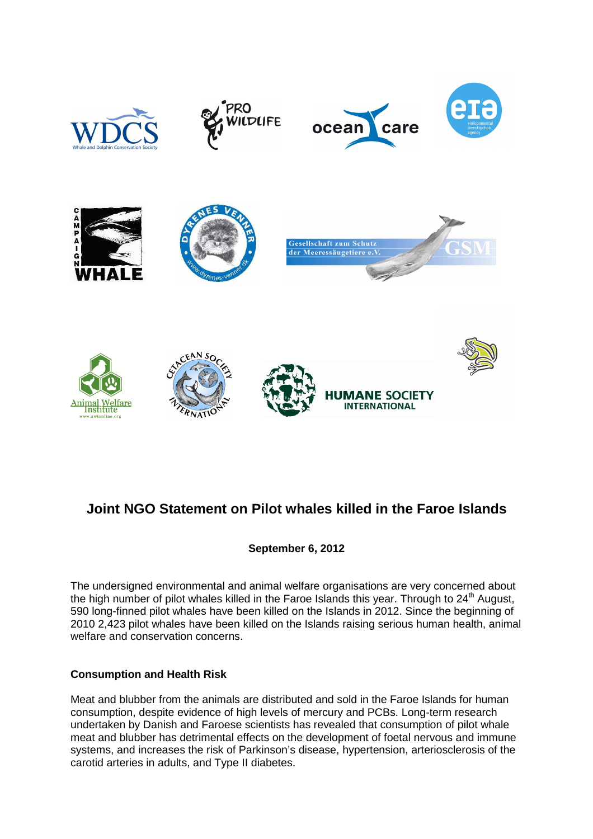

# **Joint NGO Statement on Pilot whales killed in the Faroe Islands**

## **September 6, 2012**

The undersigned environmental and animal welfare organisations are very concerned about the high number of pilot whales killed in the Faroe Islands this year. Through to  $24<sup>th</sup>$  August, 590 long-finned pilot whales have been killed on the Islands in 2012. Since the beginning of 2010 2,423 pilot whales have been killed on the Islands raising serious human health, animal welfare and conservation concerns.

### **Consumption and Health Risk**

Meat and blubber from the animals are distributed and sold in the Faroe Islands for human consumption, despite evidence of high levels of mercury and PCBs. Long-term research undertaken by Danish and Faroese scientists has revealed that consumption of pilot whale meat and blubber has detrimental effects on the development of foetal nervous and immune systems, and increases the risk of Parkinson's disease, hypertension, arteriosclerosis of the carotid arteries in adults, and Type II diabetes.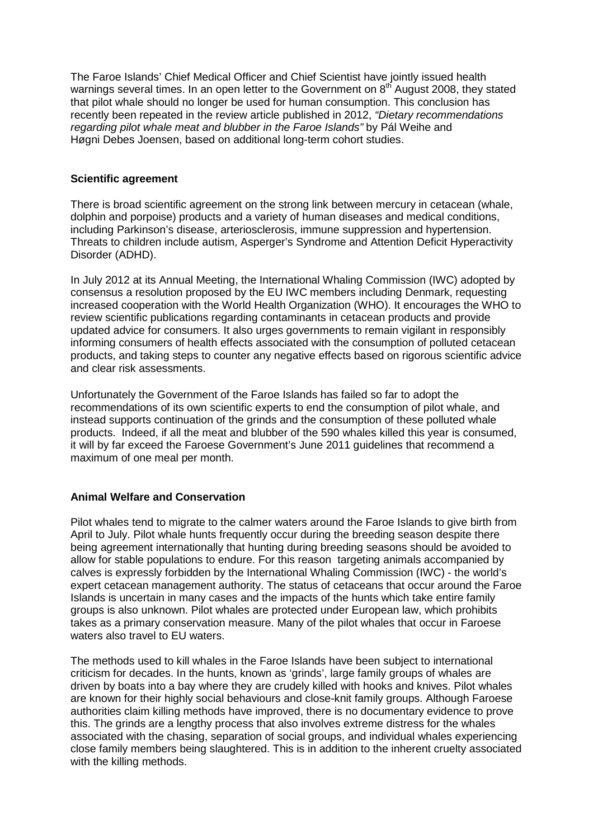The Faroe Islands' Chief Medical Officer and Chief Scientist have jointly issued health warnings several times. In an open letter to the Government on  $8<sup>th</sup>$  August 2008, they stated that pilot whale should no longer be used for human consumption. This conclusion has recently been repeated in the review article published in 2012, "Dietary recommendations regarding pilot whale meat and blubber in the Faroe Islands" by Pál Weihe and Høgni Debes Joensen, based on additional long-term cohort studies.

### **Scientific agreement**

There is broad scientific agreement on the strong link between mercury in cetacean (whale, dolphin and porpoise) products and a variety of human diseases and medical conditions, including Parkinson's disease, arteriosclerosis, immune suppression and hypertension. Threats to children include autism, Asperger's Syndrome and Attention Deficit Hyperactivity Disorder (ADHD).

In July 2012 at its Annual Meeting, the International Whaling Commission (IWC) adopted by consensus a resolution proposed by the EU IWC members including Denmark, requesting increased cooperation with the World Health Organization (WHO). It encourages the WHO to review scientific publications regarding contaminants in cetacean products and provide updated advice for consumers. It also urges governments to remain vigilant in responsibly informing consumers of health effects associated with the consumption of polluted cetacean products, and taking steps to counter any negative effects based on rigorous scientific advice and clear risk assessments.

Unfortunately the Government of the Faroe Islands has failed so far to adopt the recommendations of its own scientific experts to end the consumption of pilot whale, and instead supports continuation of the grinds and the consumption of these polluted whale products. Indeed, if all the meat and blubber of the 590 whales killed this year is consumed, it will by far exceed the Faroese Government's June 2011 guidelines that recommend a maximum of one meal per month.

### **Animal Welfare and Conservation**

Pilot whales tend to migrate to the calmer waters around the Faroe Islands to give birth from April to July. Pilot whale hunts frequently occur during the breeding season despite there being agreement internationally that hunting during breeding seasons should be avoided to allow for stable populations to endure. For this reason targeting animals accompanied by calves is expressly forbidden by the International Whaling Commission (IWC) - the world's expert cetacean management authority. The status of cetaceans that occur around the Faroe Islands is uncertain in many cases and the impacts of the hunts which take entire family groups is also unknown. Pilot whales are protected under European law, which prohibits takes as a primary conservation measure. Many of the pilot whales that occur in Faroese waters also travel to EU waters.

The methods used to kill whales in the Faroe Islands have been subject to international criticism for decades. In the hunts, known as 'grinds', large family groups of whales are driven by boats into a bay where they are crudely killed with hooks and knives. Pilot whales are known for their highly social behaviours and close-knit family groups. Although Faroese authorities claim killing methods have improved, there is no documentary evidence to prove this. The grinds are a lengthy process that also involves extreme distress for the whales associated with the chasing, separation of social groups, and individual whales experiencing close family members being slaughtered. This is in addition to the inherent cruelty associated with the killing methods.